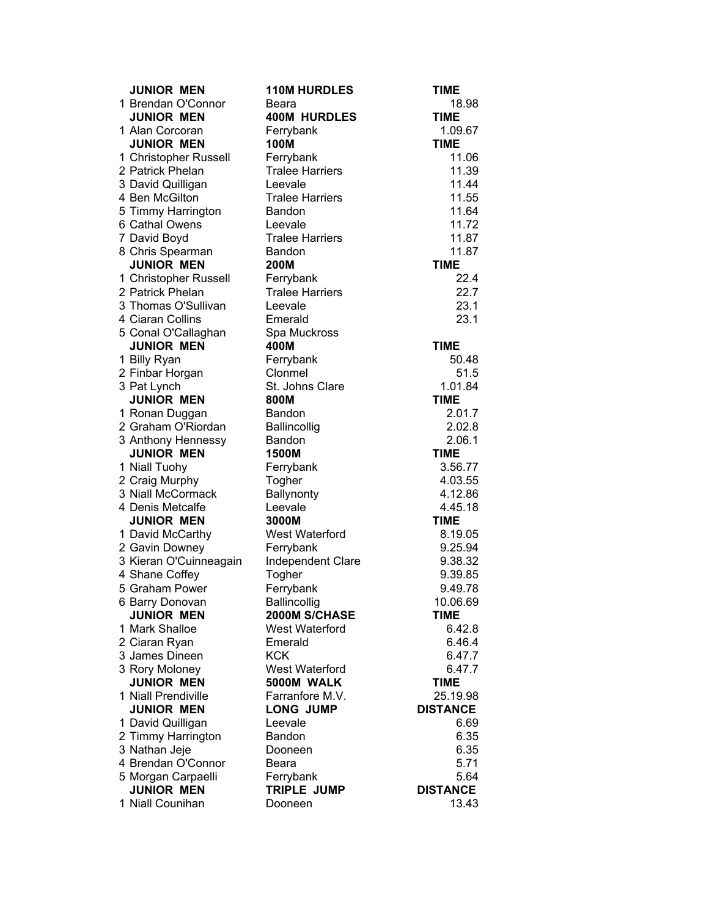| <b>JUNIOR MEN</b>                        | <b>110M HURDLES</b>         | <b>TIME</b>        |
|------------------------------------------|-----------------------------|--------------------|
| 1 Brendan O'Connor                       | Beara                       | 18.98              |
| <b>JUNIOR MEN</b>                        | <b>400M HURDLES</b>         | <b>TIME</b>        |
| 1 Alan Corcoran                          | Ferrybank                   | 1.09.67            |
| <b>JUNIOR MEN</b>                        | 100M                        | <b>TIME</b>        |
| 1 Christopher Russell                    | Ferrybank                   | 11.06              |
| 2 Patrick Phelan                         | <b>Tralee Harriers</b>      | 11.39              |
| 3 David Quilligan                        | Leevale                     | 11.44              |
| 4 Ben McGilton                           | <b>Tralee Harriers</b>      | 11.55              |
| 5 Timmy Harrington                       | Bandon                      | 11.64              |
| 6 Cathal Owens                           | Leevale                     | 11.72              |
| 7 David Boyd                             | <b>Tralee Harriers</b>      | 11.87              |
| 8 Chris Spearman                         | Bandon                      | 11.87              |
| <b>JUNIOR MEN</b>                        | <b>200M</b>                 | <b>TIME</b>        |
| 1 Christopher Russell                    | Ferrybank                   | 22.4               |
| 2 Patrick Phelan                         | <b>Tralee Harriers</b>      | 22.7               |
| 3 Thomas O'Sullivan                      | Leevale                     | 23.1               |
| 4 Ciaran Collins                         | Emerald                     | 23.1               |
| 5 Conal O'Callaghan                      | Spa Muckross                |                    |
| <b>JUNIOR MEN</b>                        | 400M                        | <b>TIME</b>        |
| 1 Billy Ryan                             | Ferrybank                   | 50.48              |
| 2 Finbar Horgan                          | Clonmel                     | 51.5               |
| 3 Pat Lynch                              | St. Johns Clare             | 1.01.84            |
| <b>JUNIOR MEN</b>                        | 800M                        | <b>TIME</b>        |
| 1 Ronan Duggan                           | <b>Bandon</b>               | 2.01.7             |
| 2 Graham O'Riordan                       | <b>Ballincollig</b>         | 2.02.8             |
| 3 Anthony Hennessy                       | Bandon                      | 2.06.1             |
| <b>JUNIOR MEN</b>                        | 1500M                       | <b>TIME</b>        |
| 1 Niall Tuohy                            | Ferrybank                   | 3.56.77            |
| 2 Craig Murphy<br>3 Niall McCormack      | Togher                      | 4.03.55            |
|                                          | Ballynonty                  | 4.12.86            |
| 4 Denis Metcalfe                         | Leevale                     | 4.45.18            |
| <b>JUNIOR MEN</b>                        | 3000M                       | <b>TIME</b>        |
| 1 David McCarthy                         | West Waterford<br>Ferrybank | 8.19.05            |
| 2 Gavin Downey<br>3 Kieran O'Cuinneagain |                             | 9.25.94<br>9.38.32 |
| 4 Shane Coffey                           | Independent Clare<br>Togher | 9.39.85            |
| 5 Graham Power                           | Ferrybank                   | 9.49.78            |
|                                          | Ballincollig                | 10.06.69           |
| 6 Barry Donovan<br><b>JUNIOR MEN</b>     | 2000M S/CHASE               | <b>TIME</b>        |
| 1 Mark Shalloe                           | West Waterford              | 6.42.8             |
| 2 Ciaran Ryan                            | Emerald                     | 6.46.4             |
| 3 James Dineen                           | <b>KCK</b>                  | 6.47.7             |
| 3 Rory Moloney                           | West Waterford              | 6.47.7             |
| <b>JUNIOR MEN</b>                        | 5000M WALK                  | <b>TIME</b>        |
| 1 Niall Prendiville                      | Farranfore M.V.             | 25.19.98           |
| <b>JUNIOR MEN</b>                        | <b>LONG JUMP</b>            | <b>DISTANCE</b>    |
| 1 David Quilligan                        | Leevale                     | 6.69               |
| 2 Timmy Harrington                       | Bandon                      | 6.35               |
| 3 Nathan Jeje                            | Dooneen                     | 6.35               |
| 4 Brendan O'Connor                       | Beara                       | 5.71               |
| 5 Morgan Carpaelli                       | Ferrybank                   | 5.64               |
| <b>JUNIOR MEN</b>                        | TRIPLE JUMP                 | <b>DISTANCE</b>    |
| 1 Niall Counihan                         | Dooneen                     | 13.43              |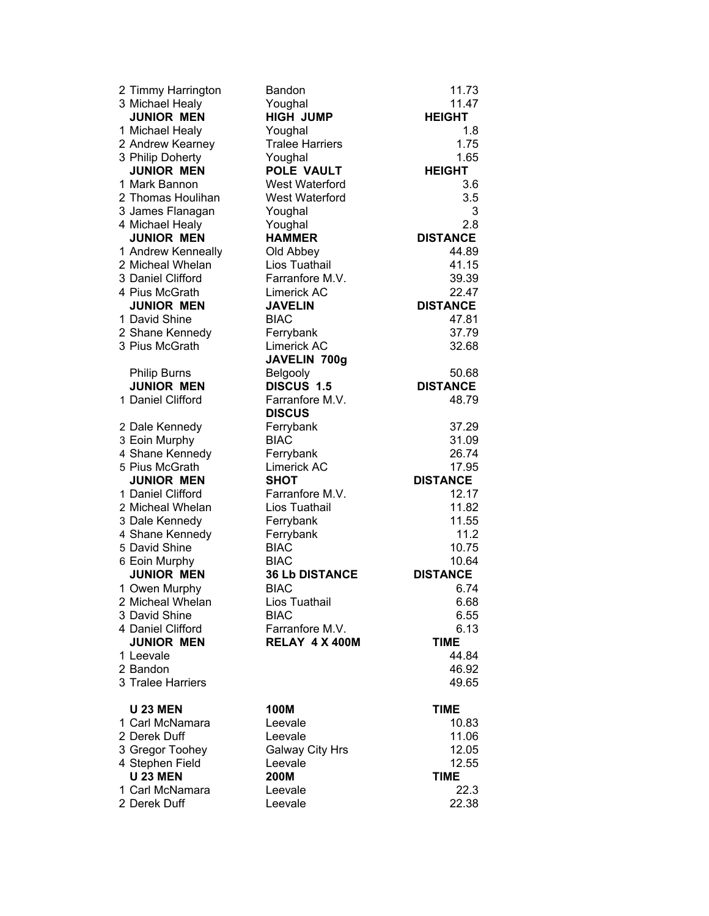| 2 Timmy Harrington                 | Bandon                 | 11.73                |
|------------------------------------|------------------------|----------------------|
| 3 Michael Healy                    | Youghal                | 11.47                |
| <b>JUNIOR MEN</b>                  | <b>HIGH JUMP</b>       | <b>HEIGHT</b>        |
| 1 Michael Healy                    | Youghal                | 1.8                  |
| 2 Andrew Kearney                   | <b>Tralee Harriers</b> | 1.75                 |
| 3 Philip Doherty                   | Youghal                | 1.65                 |
| <b>JUNIOR MEN</b>                  | <b>POLE VAULT</b>      | <b>HEIGHT</b>        |
| 1 Mark Bannon                      | <b>West Waterford</b>  | 3.6                  |
| 2 Thomas Houlihan                  | West Waterford         | 3.5                  |
| 3 James Flanagan                   | Youghal                | 3                    |
| 4 Michael Healy                    | Youghal                | 2.8                  |
| <b>JUNIOR MEN</b>                  | <b>HAMMER</b>          | <b>DISTANCE</b>      |
| 1 Andrew Kenneally                 | Old Abbey              | 44.89                |
| 2 Micheal Whelan                   | Lios Tuathail          | 41.15                |
| 3 Daniel Clifford                  | Farranfore M.V.        | 39.39                |
| 4 Pius McGrath                     | Limerick AC            | 22.47                |
| <b>JUNIOR MEN</b>                  | <b>JAVELIN</b>         | <b>DISTANCE</b>      |
| 1 David Shine                      | <b>BIAC</b>            | 47.81                |
| 2 Shane Kennedy                    | Ferrybank              | 37.79                |
| 3 Pius McGrath                     | Limerick AC            | 32.68                |
|                                    | JAVELIN 700g           |                      |
| <b>Philip Burns</b>                | Belgooly               | 50.68                |
| <b>JUNIOR MEN</b>                  | DISCUS 1.5             | <b>DISTANCE</b>      |
| 1 Daniel Clifford                  | Farranfore M.V.        | 48.79                |
|                                    | <b>DISCUS</b>          |                      |
| 2 Dale Kennedy                     | Ferrybank              | 37.29                |
| 3 Eoin Murphy                      | <b>BIAC</b>            | 31.09                |
| 4 Shane Kennedy                    | Ferrybank              | 26.74                |
| 5 Pius McGrath                     | Limerick AC            | 17.95                |
| <b>JUNIOR MEN</b>                  | <b>SHOT</b>            | <b>DISTANCE</b>      |
| 1 Daniel Clifford                  | Farranfore M.V.        | 12.17                |
| 2 Micheal Whelan                   | Lios Tuathail          | 11.82                |
| 3 Dale Kennedy                     | Ferrybank              | 11.55                |
| 4 Shane Kennedy                    | Ferrybank              | 11.2                 |
| 5 David Shine                      | <b>BIAC</b>            | 10.75                |
| 6 Eoin Murphy                      | <b>BIAC</b>            | 10.64                |
| <b>JUNIOR MEN</b>                  | <b>36 Lb DISTANCE</b>  | <b>DISTANCE</b>      |
| 1 Owen Murphy                      | <b>BIAC</b>            | 6.74                 |
| 2 Micheal Whelan                   | Lios Tuathail          | 6.68                 |
| 3 David Shine                      | <b>BIAC</b>            | 6.55                 |
| 4 Daniel Clifford                  | Farranfore M.V.        | 6.13                 |
| <b>JUNIOR MEN</b>                  | RELAY 4 X 400M         | <b>TIME</b>          |
| 1 Leevale                          |                        | 44.84                |
| 2 Bandon                           |                        | 46.92                |
| 3 Tralee Harriers                  |                        | 49.65                |
|                                    |                        |                      |
| <b>U 23 MEN</b>                    | <b>100M</b>            | <b>TIME</b>          |
| 1 Carl McNamara                    | Leevale                | 10.83                |
| 2 Derek Duff                       | Leevale                | 11.06                |
| 3 Gregor Toohey                    | <b>Galway City Hrs</b> | 12.05                |
| 4 Stephen Field<br><b>U 23 MEN</b> | Leevale<br>200M        | 12.55<br><b>TIME</b> |
| 1 Carl McNamara                    |                        | 22.3                 |
|                                    | Leevale                |                      |
| 2 Derek Duff                       | Leevale                | 22.38                |